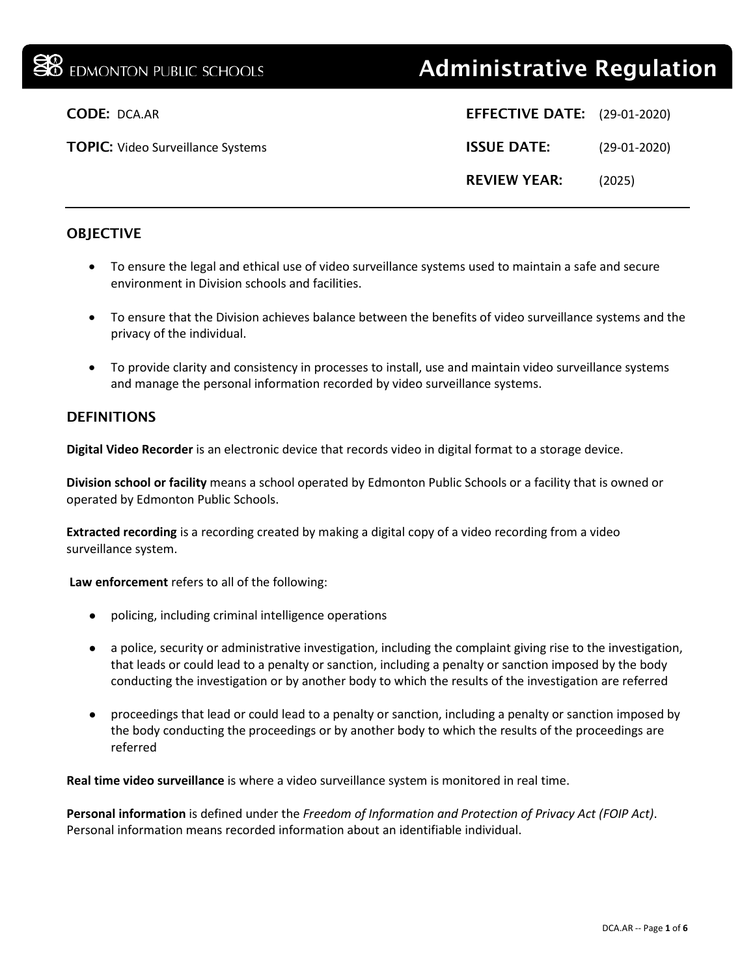# **38** EDMONTON PUBLIC SCHOOLS **Administrative Regulation**

| <b>EFFECTIVE DATE:</b> (29-01-2020) |                |
|-------------------------------------|----------------|
| <b>ISSUE DATE:</b>                  | $(29-01-2020)$ |
| <b>REVIEW YEAR:</b>                 | (2025)         |

# **CODE: DCA.AR**

TOPIC: Video Surveillance Systems

### **OBJECTIVE**

- To ensure the legal and ethical use of video surveillance systems used to maintain a safe and secure environment in Division schools and facilities.
- To ensure that the Division achieves balance between the benefits of video surveillance systems and the privacy of the individual.
- To provide clarity and consistency in processes to install, use and maintain video surveillance systems and manage the personal information recorded by video surveillance systems.

#### **DEFINITIONS**

**Digital Video Recorder** is an electronic device that records video in digital format to a storage device.

**Division school or facility** means a school operated by Edmonton Public Schools or a facility that is owned or operated by Edmonton Public Schools.

**Extracted recording** is a recording created by making a digital copy of a video recording from a video surveillance system.

**Law enforcement** refers to all of the following:

- policing, including criminal intelligence operations
- a police, security or administrative investigation, including the complaint giving rise to the investigation, that leads or could lead to a penalty or sanction, including a penalty or sanction imposed by the body conducting the investigation or by another body to which the results of the investigation are referred
- proceedings that lead or could lead to a penalty or sanction, including a penalty or sanction imposed by the body conducting the proceedings or by another body to which the results of the proceedings are referred

**Real time video surveillance** is where a video surveillance system is monitored in real time.

**Personal information** is defined under the *Freedom of Information and Protection of Privacy Act (FOIP Act)*. Personal information means recorded information about an identifiable individual.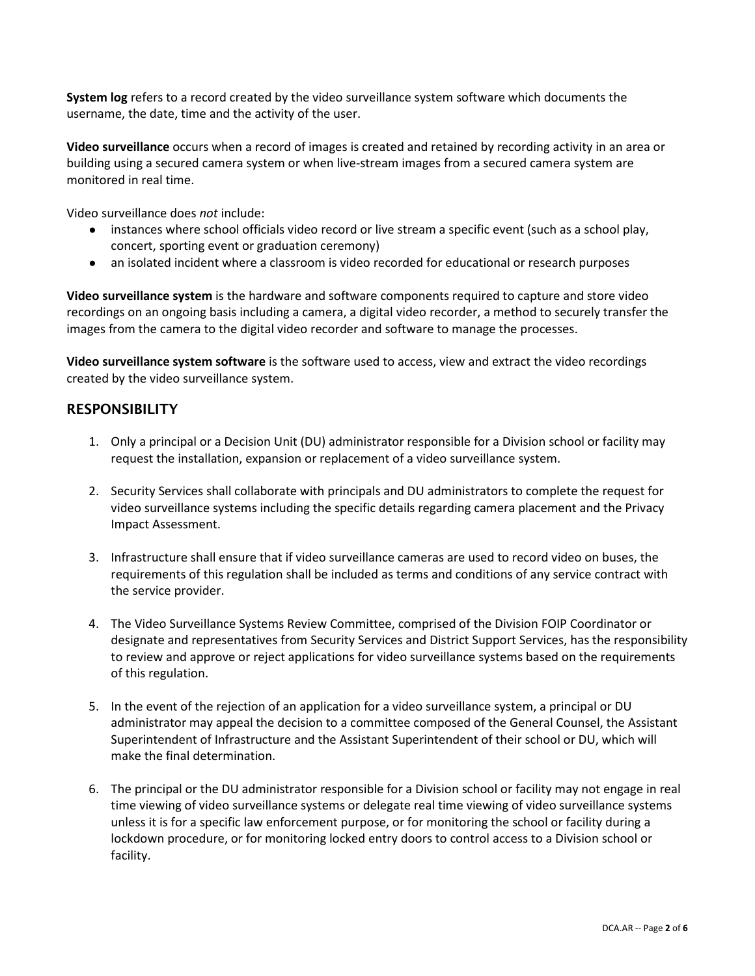**System log** refers to a record created by the video surveillance system software which documents the username, the date, time and the activity of the user.

**Video surveillance** occurs when a record of images is created and retained by recording activity in an area or building using a secured camera system or when live-stream images from a secured camera system are monitored in real time.

Video surveillance does *not* include:

- instances where school officials video record or live stream a specific event (such as a school play, concert, sporting event or graduation ceremony)
- an isolated incident where a classroom is video recorded for educational or research purposes

**Video surveillance system** is the hardware and software components required to capture and store video recordings on an ongoing basis including a camera, a digital video recorder, a method to securely transfer the images from the camera to the digital video recorder and software to manage the processes.

**Video surveillance system software** is the software used to access, view and extract the video recordings created by the video surveillance system.

#### **RESPONSIBILITY**

- 1. Only a principal or a Decision Unit (DU) administrator responsible for a Division school or facility may request the installation, expansion or replacement of a video surveillance system.
- 2. Security Services shall collaborate with principals and DU administrators to complete the request for video surveillance systems including the specific details regarding camera placement and the Privacy Impact Assessment.
- 3. Infrastructure shall ensure that if video surveillance cameras are used to record video on buses, the requirements of this regulation shall be included as terms and conditions of any service contract with the service provider.
- 4. The Video Surveillance Systems Review Committee, comprised of the Division FOIP Coordinator or designate and representatives from Security Services and District Support Services, has the responsibility to review and approve or reject applications for video surveillance systems based on the requirements of this regulation.
- 5. In the event of the rejection of an application for a video surveillance system, a principal or DU administrator may appeal the decision to a committee composed of the General Counsel, the Assistant Superintendent of Infrastructure and the Assistant Superintendent of their school or DU, which will make the final determination.
- 6. The principal or the DU administrator responsible for a Division school or facility may not engage in real time viewing of video surveillance systems or delegate real time viewing of video surveillance systems unless it is for a specific law enforcement purpose, or for monitoring the school or facility during a lockdown procedure, or for monitoring locked entry doors to control access to a Division school or facility.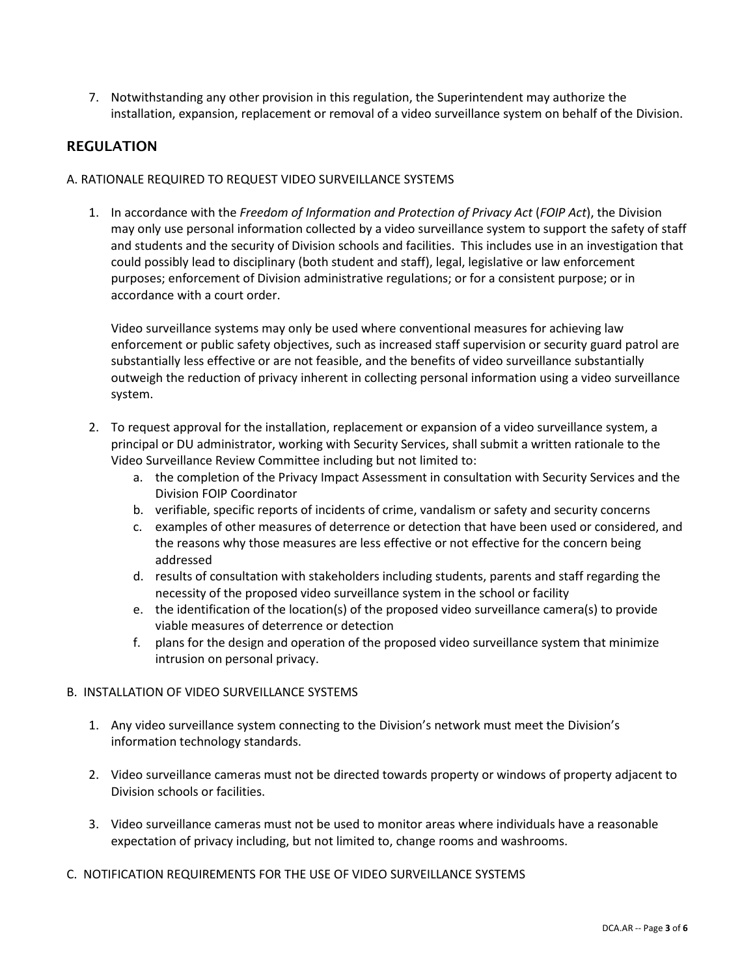7. Notwithstanding any other provision in this regulation, the Superintendent may authorize the installation, expansion, replacement or removal of a video surveillance system on behalf of the Division.

## REGULATION

#### A. RATIONALE REQUIRED TO REQUEST VIDEO SURVEILLANCE SYSTEMS

1. In accordance with the *Freedom of Information and Protection of Privacy Act* (*FOIP Act*), the Division may only use personal information collected by a video surveillance system to support the safety of staff and students and the security of Division schools and facilities. This includes use in an investigation that could possibly lead to disciplinary (both student and staff), legal, legislative or law enforcement purposes; enforcement of Division administrative regulations; or for a consistent purpose; or in accordance with a court order.

Video surveillance systems may only be used where conventional measures for achieving law enforcement or public safety objectives, such as increased staff supervision or security guard patrol are substantially less effective or are not feasible, and the benefits of video surveillance substantially outweigh the reduction of privacy inherent in collecting personal information using a video surveillance system.

- 2. To request approval for the installation, replacement or expansion of a video surveillance system, a principal or DU administrator, working with Security Services, shall submit a written rationale to the Video Surveillance Review Committee including but not limited to:
	- a. the completion of the Privacy Impact Assessment in consultation with Security Services and the Division FOIP Coordinator
	- b. verifiable, specific reports of incidents of crime, vandalism or safety and security concerns
	- c. examples of other measures of deterrence or detection that have been used or considered, and the reasons why those measures are less effective or not effective for the concern being addressed
	- d. results of consultation with stakeholders including students, parents and staff regarding the necessity of the proposed video surveillance system in the school or facility
	- e. the identification of the location(s) of the proposed video surveillance camera(s) to provide viable measures of deterrence or detection
	- f. plans for the design and operation of the proposed video surveillance system that minimize intrusion on personal privacy.

#### B. INSTALLATION OF VIDEO SURVEILLANCE SYSTEMS

- 1. Any video surveillance system connecting to the Division's network must meet the Division's information technology standards.
- 2. Video surveillance cameras must not be directed towards property or windows of property adjacent to Division schools or facilities.
- 3. Video surveillance cameras must not be used to monitor areas where individuals have a reasonable expectation of privacy including, but not limited to, change rooms and washrooms.
- C. NOTIFICATION REQUIREMENTS FOR THE USE OF VIDEO SURVEILLANCE SYSTEMS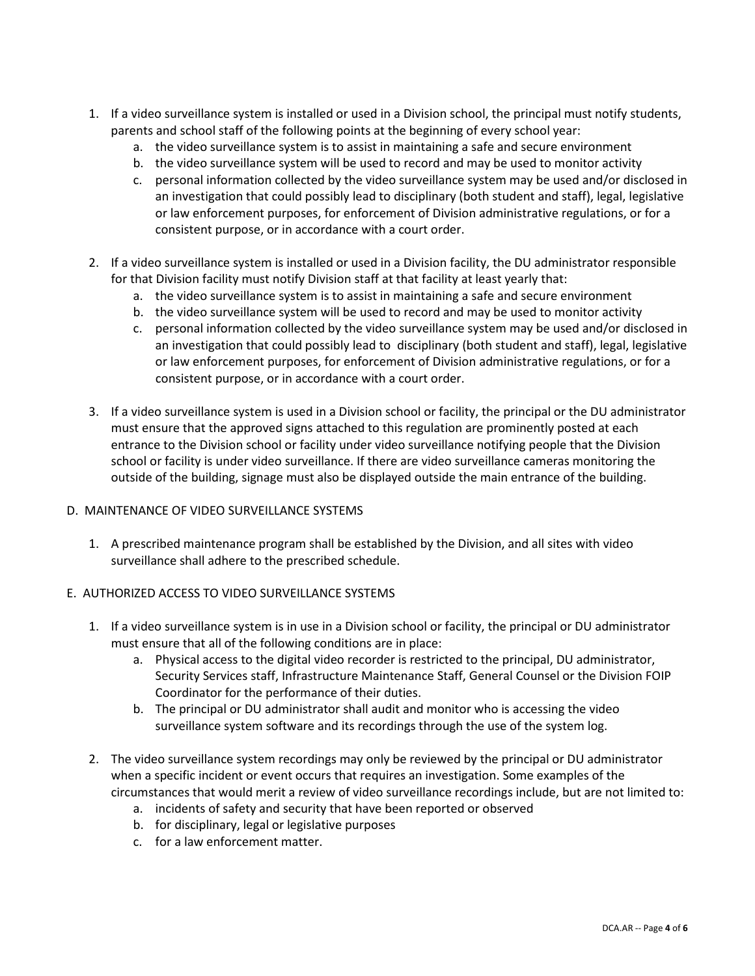- 1. If a video surveillance system is installed or used in a Division school, the principal must notify students, parents and school staff of the following points at the beginning of every school year:
	- a. the video surveillance system is to assist in maintaining a safe and secure environment
	- b. the video surveillance system will be used to record and may be used to monitor activity
	- c. personal information collected by the video surveillance system may be used and/or disclosed in an investigation that could possibly lead to disciplinary (both student and staff), legal, legislative or law enforcement purposes, for enforcement of Division administrative regulations, or for a consistent purpose, or in accordance with a court order.
- 2. If a video surveillance system is installed or used in a Division facility, the DU administrator responsible for that Division facility must notify Division staff at that facility at least yearly that:
	- a. the video surveillance system is to assist in maintaining a safe and secure environment
	- b. the video surveillance system will be used to record and may be used to monitor activity
	- c. personal information collected by the video surveillance system may be used and/or disclosed in an investigation that could possibly lead to disciplinary (both student and staff), legal, legislative or law enforcement purposes, for enforcement of Division administrative regulations, or for a consistent purpose, or in accordance with a court order.
- 3. If a video surveillance system is used in a Division school or facility, the principal or the DU administrator must ensure that the approved signs attached to this regulation are prominently posted at each entrance to the Division school or facility under video surveillance notifying people that the Division school or facility is under video surveillance. If there are video surveillance cameras monitoring the outside of the building, signage must also be displayed outside the main entrance of the building.

#### D. MAINTENANCE OF VIDEO SURVEILLANCE SYSTEMS

- 1. A prescribed maintenance program shall be established by the Division, and all sites with video surveillance shall adhere to the prescribed schedule.
- E. AUTHORIZED ACCESS TO VIDEO SURVEILLANCE SYSTEMS
	- 1. If a video surveillance system is in use in a Division school or facility, the principal or DU administrator must ensure that all of the following conditions are in place:
		- a. Physical access to the digital video recorder is restricted to the principal, DU administrator, Security Services staff, Infrastructure Maintenance Staff, General Counsel or the Division FOIP Coordinator for the performance of their duties.
		- b. The principal or DU administrator shall audit and monitor who is accessing the video surveillance system software and its recordings through the use of the system log.
	- 2. The video surveillance system recordings may only be reviewed by the principal or DU administrator when a specific incident or event occurs that requires an investigation. Some examples of the circumstances that would merit a review of video surveillance recordings include, but are not limited to:
		- a. incidents of safety and security that have been reported or observed
		- b. for disciplinary, legal or legislative purposes
		- c. for a law enforcement matter.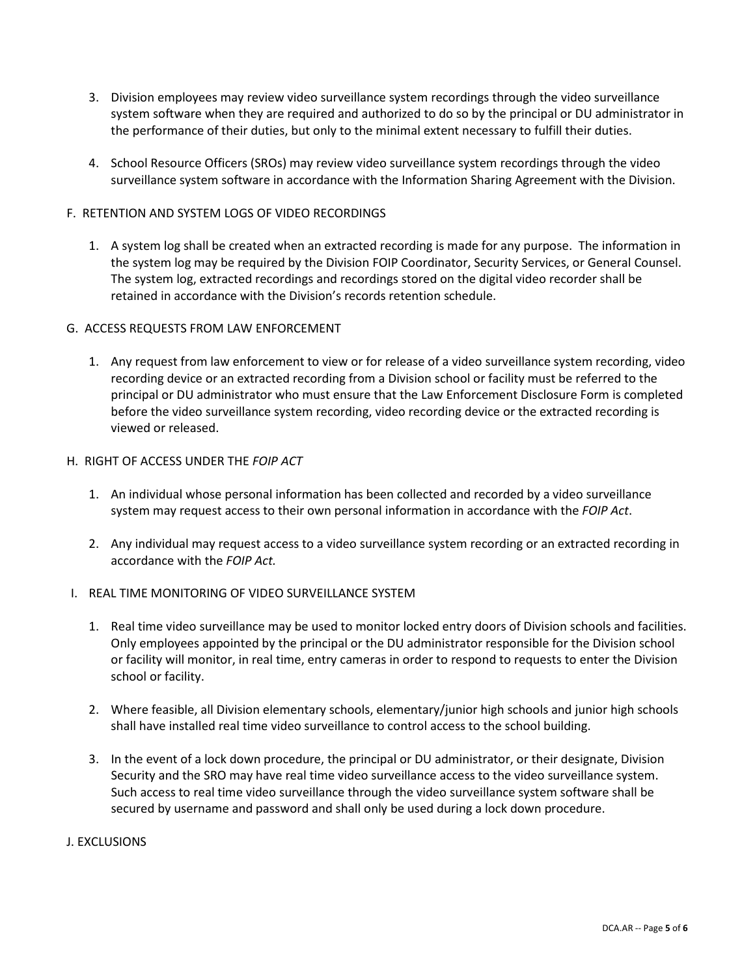- 3. Division employees may review video surveillance system recordings through the video surveillance system software when they are required and authorized to do so by the principal or DU administrator in the performance of their duties, but only to the minimal extent necessary to fulfill their duties.
- 4. School Resource Officers (SROs) may review video surveillance system recordings through the video surveillance system software in accordance with the Information Sharing Agreement with the Division.

#### F. RETENTION AND SYSTEM LOGS OF VIDEO RECORDINGS

1. A system log shall be created when an extracted recording is made for any purpose. The information in the system log may be required by the Division FOIP Coordinator, Security Services, or General Counsel. The system log, extracted recordings and recordings stored on the digital video recorder shall be retained in accordance with the Division's records retention schedule.

#### G. ACCESS REQUESTS FROM LAW ENFORCEMENT

1. Any request from law enforcement to view or for release of a video surveillance system recording, video recording device or an extracted recording from a Division school or facility must be referred to the principal or DU administrator who must ensure that the Law Enforcement Disclosure Form is completed before the video surveillance system recording, video recording device or the extracted recording is viewed or released.

#### H. RIGHT OF ACCESS UNDER THE *FOIP ACT*

- 1. An individual whose personal information has been collected and recorded by a video surveillance system may request access to their own personal information in accordance with the *FOIP Act*.
- 2. Any individual may request access to a video surveillance system recording or an extracted recording in accordance with the *FOIP Act.*

#### I. REAL TIME MONITORING OF VIDEO SURVEILLANCE SYSTEM

- 1. Real time video surveillance may be used to monitor locked entry doors of Division schools and facilities. Only employees appointed by the principal or the DU administrator responsible for the Division school or facility will monitor, in real time, entry cameras in order to respond to requests to enter the Division school or facility.
- 2. Where feasible, all Division elementary schools, elementary/junior high schools and junior high schools shall have installed real time video surveillance to control access to the school building.
- 3. In the event of a lock down procedure, the principal or DU administrator, or their designate, Division Security and the SRO may have real time video surveillance access to the video surveillance system. Such access to real time video surveillance through the video surveillance system software shall be secured by username and password and shall only be used during a lock down procedure.

#### J. EXCLUSIONS